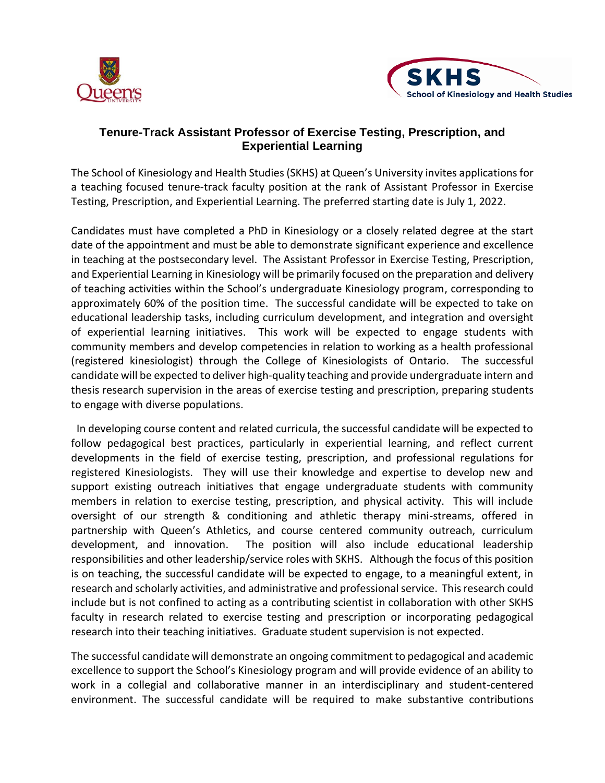



## **Tenure-Track Assistant Professor of Exercise Testing, Prescription, and Experiential Learning**

The School of Kinesiology and Health Studies (SKHS) at Queen's University invites applications for a teaching focused tenure-track faculty position at the rank of Assistant Professor in Exercise Testing, Prescription, and Experiential Learning. The preferred starting date is July 1, 2022.

Candidates must have completed a PhD in Kinesiology or a closely related degree at the start date of the appointment and must be able to demonstrate significant experience and excellence in teaching at the postsecondary level. The Assistant Professor in Exercise Testing, Prescription, and Experiential Learning in Kinesiology will be primarily focused on the preparation and delivery of teaching activities within the School's undergraduate Kinesiology program, corresponding to approximately 60% of the position time. The successful candidate will be expected to take on educational leadership tasks, including curriculum development, and integration and oversight of experiential learning initiatives. This work will be expected to engage students with community members and develop competencies in relation to working as a health professional (registered kinesiologist) through the College of Kinesiologists of Ontario. The successful candidate will be expected to deliver high-quality teaching and provide undergraduate intern and thesis research supervision in the areas of exercise testing and prescription, preparing students to engage with diverse populations.

 In developing course content and related curricula, the successful candidate will be expected to follow pedagogical best practices, particularly in experiential learning, and reflect current developments in the field of exercise testing, prescription, and professional regulations for registered Kinesiologists. They will use their knowledge and expertise to develop new and support existing outreach initiatives that engage undergraduate students with community members in relation to exercise testing, prescription, and physical activity. This will include oversight of our strength & conditioning and athletic therapy mini-streams, offered in partnership with Queen's Athletics, and course centered community outreach, curriculum development, and innovation. The position will also include educational leadership responsibilities and other leadership/service roles with SKHS. Although the focus of this position is on teaching, the successful candidate will be expected to engage, to a meaningful extent, in research and scholarly activities, and administrative and professional service. This research could include but is not confined to acting as a contributing scientist in collaboration with other SKHS faculty in research related to exercise testing and prescription or incorporating pedagogical research into their teaching initiatives. Graduate student supervision is not expected.

The successful candidate will demonstrate an ongoing commitment to pedagogical and academic excellence to support the School's Kinesiology program and will provide evidence of an ability to work in a collegial and collaborative manner in an interdisciplinary and student-centered environment. The successful candidate will be required to make substantive contributions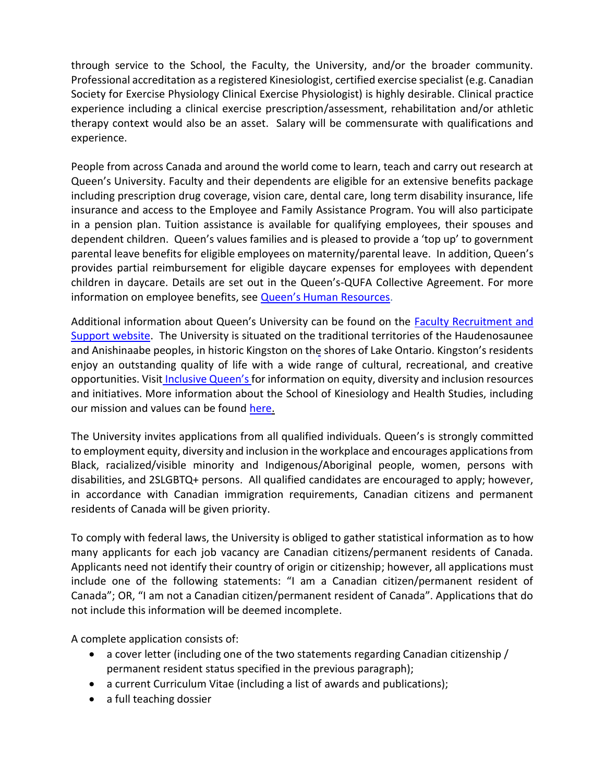through service to the School, the Faculty, the University, and/or the broader community. Professional accreditation as a registered Kinesiologist, certified exercise specialist (e.g. Canadian Society for Exercise Physiology Clinical Exercise Physiologist) is highly desirable. Clinical practice experience including a clinical exercise prescription/assessment, rehabilitation and/or athletic therapy context would also be an asset. Salary will be commensurate with qualifications and experience.

People from across Canada and around the world come to learn, teach and carry out research at Queen's University. Faculty and their dependents are eligible for an extensive benefits package including prescription drug coverage, vision care, dental care, long term disability insurance, life insurance and access to the Employee and Family Assistance Program. You will also participate in a pension plan. Tuition assistance is available for qualifying employees, their spouses and dependent children. Queen's values families and is pleased to provide a 'top up' to government parental leave benefits for eligible employees on maternity/parental leave. In addition, Queen's provides partial reimbursement for eligible daycare expenses for employees with dependent children in daycare. Details are set out in the Queen's-QUFA Collective Agreement. For more information on employee benefits, see [Queen's Human Resources](http://www.queensu.ca/humanresources/).

Additional information about Queen's University can be found on the [Faculty Recruitment and](https://www.queensu.ca/facultyrecruitment/home) [Support website.](https://www.queensu.ca/facultyrecruitment/home) The University is situated on the traditional territories of the Haudenosaunee and Anishinaabe peoples, in historic Kingston on the shores of Lake Ontario. Kingston's residents enjoy an outstanding quality of life with a wide range of cultural, recreational, and creative opportunities. Visit [Inclusive Queen's](https://www.queensu.ca/inclusive) for information on equity, diversity and inclusion resources and initiatives. More information about the School of Kinesiology and Health Studies, including our mission and values can be found [here.](https://skhs.queensu.ca/about-us-2/)

The University invites applications from all qualified individuals. Queen's is strongly committed to employment equity, diversity and inclusion in the workplace and encourages applications from Black, racialized/visible minority and Indigenous/Aboriginal people, women, persons with disabilities, and 2SLGBTQ+ persons. All qualified candidates are encouraged to apply; however, in accordance with Canadian immigration requirements, Canadian citizens and permanent residents of Canada will be given priority.

To comply with federal laws, the University is obliged to gather statistical information as to how many applicants for each job vacancy are Canadian citizens/permanent residents of Canada. Applicants need not identify their country of origin or citizenship; however, all applications must include one of the following statements: "I am a Canadian citizen/permanent resident of Canada"; OR, "I am not a Canadian citizen/permanent resident of Canada". Applications that do not include this information will be deemed incomplete.

A complete application consists of:

- a cover letter (including one of the two statements regarding Canadian citizenship / permanent resident status specified in the previous paragraph);
- a current Curriculum Vitae (including a list of awards and publications);
- a full teaching dossier